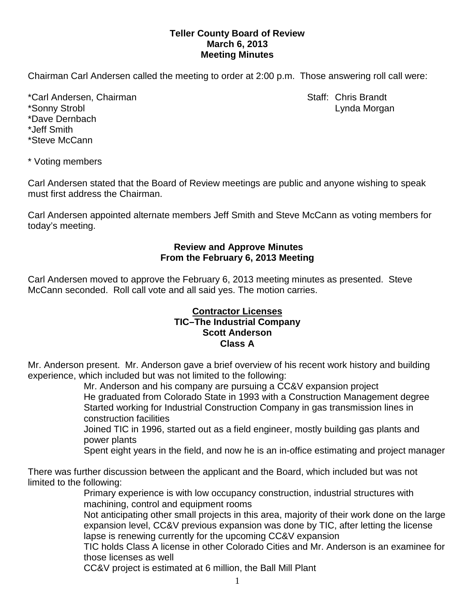# **Teller County Board of Review March 6, 2013 Meeting Minutes**

Chairman Carl Andersen called the meeting to order at 2:00 p.m. Those answering roll call were:

\*Carl Andersen, Chairman Staff: Chris Brandt \*Sonny Strobl Lynda Morgan \*Dave Dernbach \*Jeff Smith \*Steve McCann

\* Voting members

Carl Andersen stated that the Board of Review meetings are public and anyone wishing to speak must first address the Chairman.

Carl Andersen appointed alternate members Jeff Smith and Steve McCann as voting members for today's meeting.

### **Review and Approve Minutes From the February 6, 2013 Meeting**

Carl Andersen moved to approve the February 6, 2013 meeting minutes as presented. Steve McCann seconded.Roll call vote and all said yes. The motion carries.

## **Contractor Licenses TIC–The Industrial Company Scott Anderson Class A**

Mr. Anderson present. Mr. Anderson gave a brief overview of his recent work history and building experience, which included but was not limited to the following:

Mr. Anderson and his company are pursuing a CC&V expansion project He graduated from Colorado State in 1993 with a Construction Management degree Started working for Industrial Construction Company in gas transmission lines in construction facilities

Joined TIC in 1996, started out as a field engineer, mostly building gas plants and power plants

Spent eight years in the field, and now he is an in-office estimating and project manager

There was further discussion between the applicant and the Board, which included but was not limited to the following:

Primary experience is with low occupancy construction, industrial structures with machining, control and equipment rooms

Not anticipating other small projects in this area, majority of their work done on the large expansion level, CC&V previous expansion was done by TIC, after letting the license lapse is renewing currently for the upcoming CC&V expansion

TIC holds Class A license in other Colorado Cities and Mr. Anderson is an examinee for those licenses as well

CC&V project is estimated at 6 million, the Ball Mill Plant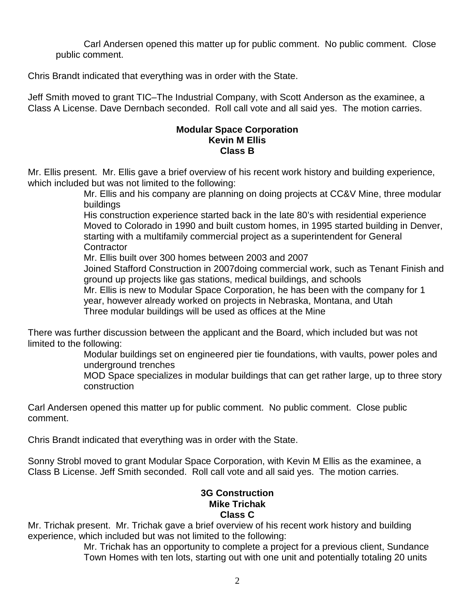Carl Andersen opened this matter up for public comment. No public comment. Close public comment.

Chris Brandt indicated that everything was in order with the State.

Jeff Smith moved to grant TIC–The Industrial Company, with Scott Anderson as the examinee, a Class A License. Dave Dernbach seconded. Roll call vote and all said yes. The motion carries.

# **Modular Space Corporation Kevin M Ellis Class B**

Mr. Ellis present. Mr. Ellis gave a brief overview of his recent work history and building experience, which included but was not limited to the following:

> Mr. Ellis and his company are planning on doing projects at CC&V Mine, three modular buildings

> His construction experience started back in the late 80's with residential experience Moved to Colorado in 1990 and built custom homes, in 1995 started building in Denver, starting with a multifamily commercial project as a superintendent for General **Contractor**

Mr. Ellis built over 300 homes between 2003 and 2007

Joined Stafford Construction in 2007doing commercial work, such as Tenant Finish and ground up projects like gas stations, medical buildings, and schools

Mr. Ellis is new to Modular Space Corporation, he has been with the company for 1

year, however already worked on projects in Nebraska, Montana, and Utah Three modular buildings will be used as offices at the Mine

There was further discussion between the applicant and the Board, which included but was not limited to the following:

> Modular buildings set on engineered pier tie foundations, with vaults, power poles and underground trenches

MOD Space specializes in modular buildings that can get rather large, up to three story construction

Carl Andersen opened this matter up for public comment. No public comment. Close public comment.

Chris Brandt indicated that everything was in order with the State.

Sonny Strobl moved to grant Modular Space Corporation, with Kevin M Ellis as the examinee, a Class B License. Jeff Smith seconded. Roll call vote and all said yes. The motion carries.

# **3G Construction Mike Trichak Class C**

Mr. Trichak present. Mr. Trichak gave a brief overview of his recent work history and building experience, which included but was not limited to the following:

Mr. Trichak has an opportunity to complete a project for a previous client, Sundance Town Homes with ten lots, starting out with one unit and potentially totaling 20 units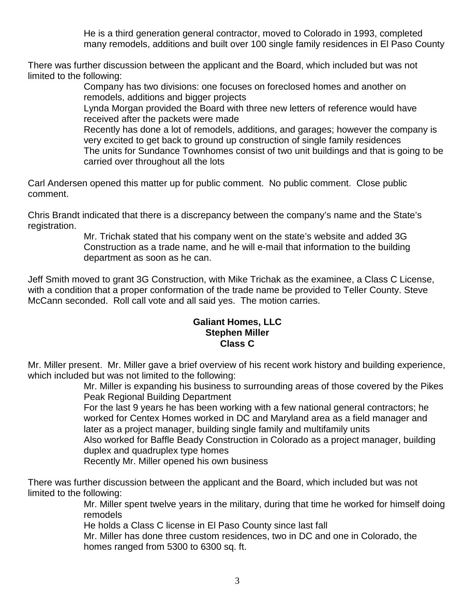He is a third generation general contractor, moved to Colorado in 1993, completed many remodels, additions and built over 100 single family residences in El Paso County

There was further discussion between the applicant and the Board, which included but was not limited to the following:

Company has two divisions: one focuses on foreclosed homes and another on remodels, additions and bigger projects

Lynda Morgan provided the Board with three new letters of reference would have received after the packets were made

Recently has done a lot of remodels, additions, and garages; however the company is very excited to get back to ground up construction of single family residences The units for Sundance Townhomes consist of two unit buildings and that is going to be carried over throughout all the lots

Carl Andersen opened this matter up for public comment. No public comment. Close public comment.

Chris Brandt indicated that there is a discrepancy between the company's name and the State's registration.

Mr. Trichak stated that his company went on the state's website and added 3G Construction as a trade name, and he will e-mail that information to the building department as soon as he can.

Jeff Smith moved to grant 3G Construction, with Mike Trichak as the examinee, a Class C License, with a condition that a proper conformation of the trade name be provided to Teller County. Steve McCann seconded. Roll call vote and all said yes. The motion carries.

## **Galiant Homes, LLC Stephen Miller Class C**

Mr. Miller present. Mr. Miller gave a brief overview of his recent work history and building experience, which included but was not limited to the following:

Mr. Miller is expanding his business to surrounding areas of those covered by the Pikes Peak Regional Building Department

For the last 9 years he has been working with a few national general contractors; he worked for Centex Homes worked in DC and Maryland area as a field manager and later as a project manager, building single family and multifamily units

Also worked for Baffle Beady Construction in Colorado as a project manager, building duplex and quadruplex type homes

Recently Mr. Miller opened his own business

There was further discussion between the applicant and the Board, which included but was not limited to the following:

Mr. Miller spent twelve years in the military, during that time he worked for himself doing remodels

He holds a Class C license in El Paso County since last fall

Mr. Miller has done three custom residences, two in DC and one in Colorado, the homes ranged from 5300 to 6300 sq. ft.